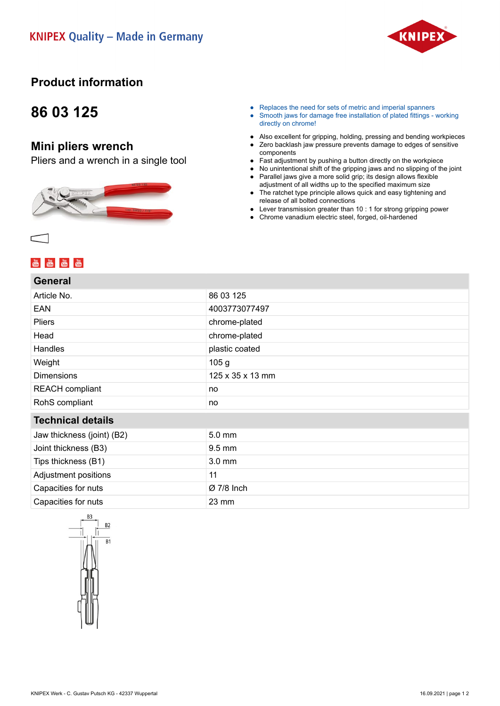

### **Product information**

## **86 03 125**

#### **Mini pliers wrench**

Pliers and a wrench in a single tool



- Replaces the need for sets of metric and imperial spanners
- Smooth jaws for damage free installation of plated fittings working directly on chrome!
- Also excellent for gripping, holding, pressing and bending workpieces
- Zero backlash jaw pressure prevents damage to edges of sensitive components
- Fast adjustment by pushing a button directly on the workpiece
- No unintentional shift of the gripping jaws and no slipping of the joint
- Parallel jaws give a more solid grip; its design allows flexible adjustment of all widths up to the specified maximum size
- The ratchet type principle allows quick and easy tightening and release of all bolted connections
- Lever transmission greater than 10 : 1 for strong gripping power
- Chrome vanadium electric steel, forged, oil-hardened

## **You You You You You**<br>Title Title Title Title

#### **General**

| Article No.                | 86 03 125        |
|----------------------------|------------------|
| <b>EAN</b>                 | 4003773077497    |
| <b>Pliers</b>              | chrome-plated    |
| Head                       | chrome-plated    |
| <b>Handles</b>             | plastic coated   |
| Weight                     | 105 <sub>g</sub> |
| <b>Dimensions</b>          | 125 x 35 x 13 mm |
| <b>REACH</b> compliant     | no               |
| RohS compliant             | no               |
| <b>Technical details</b>   |                  |
| Jaw thickness (joint) (B2) | $5.0 \text{ mm}$ |
| Joint thickness (B3)       | 9.5 mm           |
| Tips thickness (B1)        | $3.0 \text{ mm}$ |
| Adjustment positions       | 11               |
| Capacities for nuts        | $Ø7/8$ Inch      |
| Capacities for nuts        | $23 \text{ mm}$  |